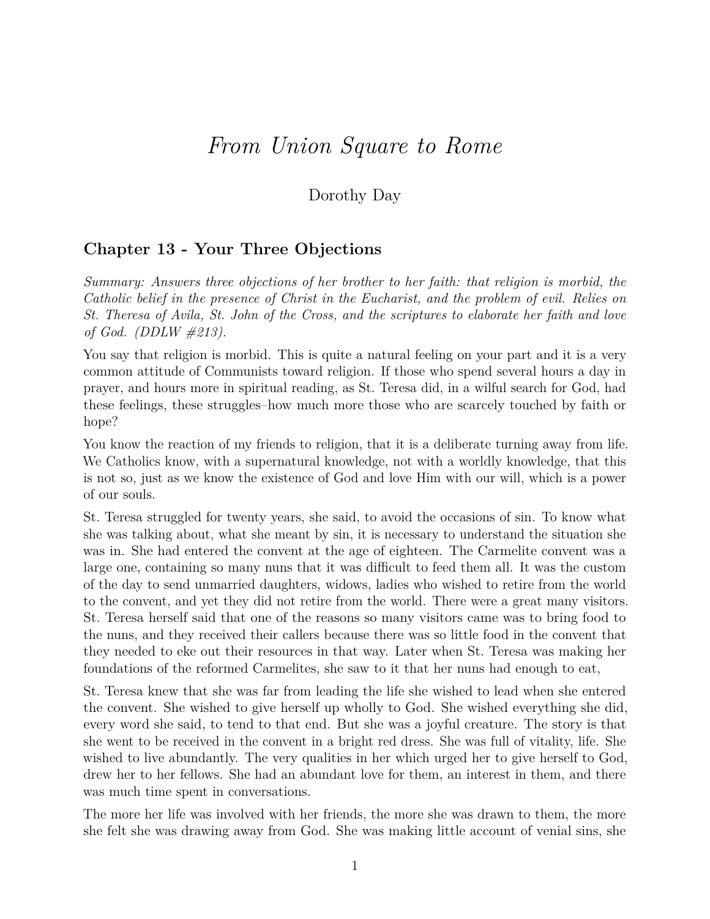# *From Union Square to Rome*

## Dorothy Day

### **Chapter 13 - Your Three Objections**

*Summary: Answers three objections of her brother to her faith: that religion is morbid, the Catholic belief in the presence of Christ in the Eucharist, and the problem of evil. Relies on St. Theresa of Avila, St. John of the Cross, and the scriptures to elaborate her faith and love of God. (DDLW #213).*

You say that religion is morbid. This is quite a natural feeling on your part and it is a very common attitude of Communists toward religion. If those who spend several hours a day in prayer, and hours more in spiritual reading, as St. Teresa did, in a wilful search for God, had these feelings, these struggles–how much more those who are scarcely touched by faith or hope?

You know the reaction of my friends to religion, that it is a deliberate turning away from life. We Catholics know, with a supernatural knowledge, not with a worldly knowledge, that this is not so, just as we know the existence of God and love Him with our will, which is a power of our souls.

St. Teresa struggled for twenty years, she said, to avoid the occasions of sin. To know what she was talking about, what she meant by sin, it is necessary to understand the situation she was in. She had entered the convent at the age of eighteen. The Carmelite convent was a large one, containing so many nuns that it was difficult to feed them all. It was the custom of the day to send unmarried daughters, widows, ladies who wished to retire from the world to the convent, and yet they did not retire from the world. There were a great many visitors. St. Teresa herself said that one of the reasons so many visitors came was to bring food to the nuns, and they received their callers because there was so little food in the convent that they needed to eke out their resources in that way. Later when St. Teresa was making her foundations of the reformed Carmelites, she saw to it that her nuns had enough to eat,

St. Teresa knew that she was far from leading the life she wished to lead when she entered the convent. She wished to give herself up wholly to God. She wished everything she did, every word she said, to tend to that end. But she was a joyful creature. The story is that she went to be received in the convent in a bright red dress. She was full of vitality, life. She wished to live abundantly. The very qualities in her which urged her to give herself to God, drew her to her fellows. She had an abundant love for them, an interest in them, and there was much time spent in conversations.

The more her life was involved with her friends, the more she was drawn to them, the more she felt she was drawing away from God. She was making little account of venial sins, she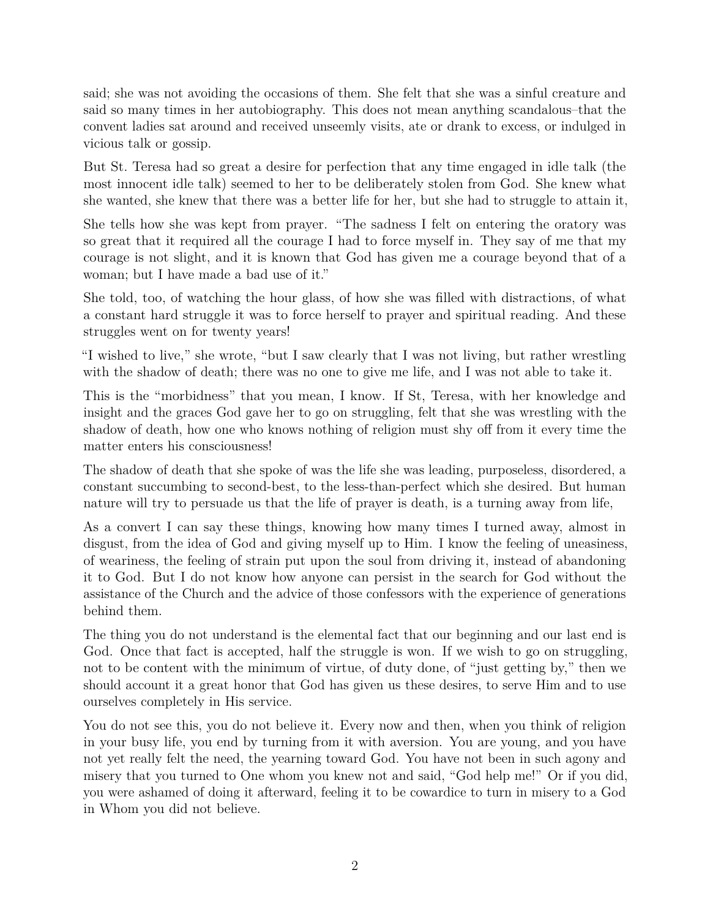said; she was not avoiding the occasions of them. She felt that she was a sinful creature and said so many times in her autobiography. This does not mean anything scandalous–that the convent ladies sat around and received unseemly visits, ate or drank to excess, or indulged in vicious talk or gossip.

But St. Teresa had so great a desire for perfection that any time engaged in idle talk (the most innocent idle talk) seemed to her to be deliberately stolen from God. She knew what she wanted, she knew that there was a better life for her, but she had to struggle to attain it,

She tells how she was kept from prayer. "The sadness I felt on entering the oratory was so great that it required all the courage I had to force myself in. They say of me that my courage is not slight, and it is known that God has given me a courage beyond that of a woman; but I have made a bad use of it."

She told, too, of watching the hour glass, of how she was filled with distractions, of what a constant hard struggle it was to force herself to prayer and spiritual reading. And these struggles went on for twenty years!

"I wished to live," she wrote, "but I saw clearly that I was not living, but rather wrestling with the shadow of death; there was no one to give me life, and I was not able to take it.

This is the "morbidness" that you mean, I know. If St, Teresa, with her knowledge and insight and the graces God gave her to go on struggling, felt that she was wrestling with the shadow of death, how one who knows nothing of religion must shy off from it every time the matter enters his consciousness!

The shadow of death that she spoke of was the life she was leading, purposeless, disordered, a constant succumbing to second-best, to the less-than-perfect which she desired. But human nature will try to persuade us that the life of prayer is death, is a turning away from life,

As a convert I can say these things, knowing how many times I turned away, almost in disgust, from the idea of God and giving myself up to Him. I know the feeling of uneasiness, of weariness, the feeling of strain put upon the soul from driving it, instead of abandoning it to God. But I do not know how anyone can persist in the search for God without the assistance of the Church and the advice of those confessors with the experience of generations behind them.

The thing you do not understand is the elemental fact that our beginning and our last end is God. Once that fact is accepted, half the struggle is won. If we wish to go on struggling, not to be content with the minimum of virtue, of duty done, of "just getting by," then we should account it a great honor that God has given us these desires, to serve Him and to use ourselves completely in His service.

You do not see this, you do not believe it. Every now and then, when you think of religion in your busy life, you end by turning from it with aversion. You are young, and you have not yet really felt the need, the yearning toward God. You have not been in such agony and misery that you turned to One whom you knew not and said, "God help me!" Or if you did, you were ashamed of doing it afterward, feeling it to be cowardice to turn in misery to a God in Whom you did not believe.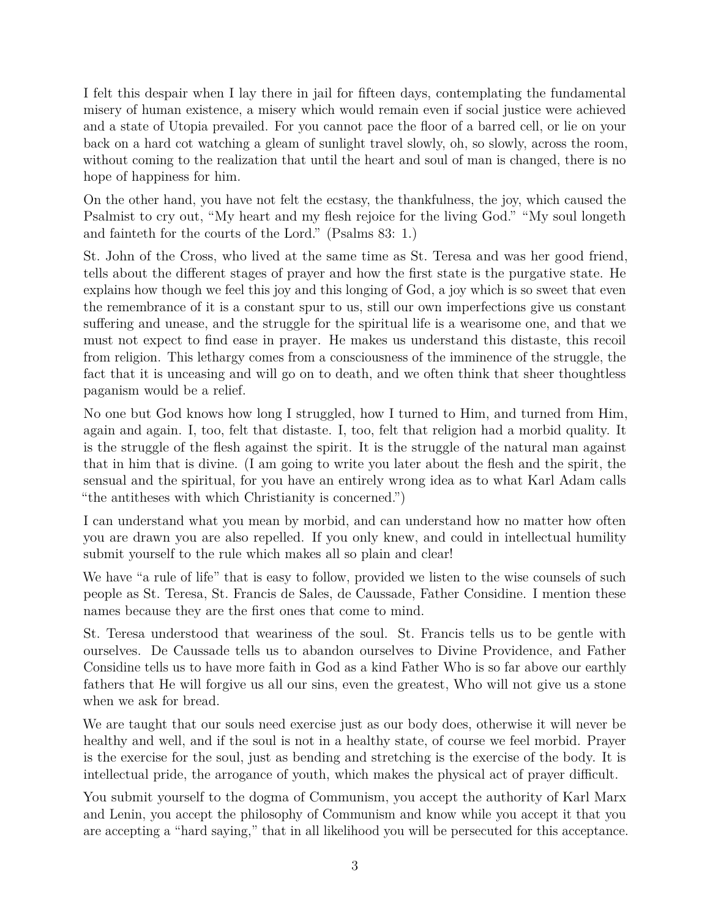I felt this despair when I lay there in jail for fifteen days, contemplating the fundamental misery of human existence, a misery which would remain even if social justice were achieved and a state of Utopia prevailed. For you cannot pace the floor of a barred cell, or lie on your back on a hard cot watching a gleam of sunlight travel slowly, oh, so slowly, across the room, without coming to the realization that until the heart and soul of man is changed, there is no hope of happiness for him.

On the other hand, you have not felt the ecstasy, the thankfulness, the joy, which caused the Psalmist to cry out, "My heart and my flesh rejoice for the living God." "My soul longeth and fainteth for the courts of the Lord." (Psalms 83: 1.)

St. John of the Cross, who lived at the same time as St. Teresa and was her good friend, tells about the different stages of prayer and how the first state is the purgative state. He explains how though we feel this joy and this longing of God, a joy which is so sweet that even the remembrance of it is a constant spur to us, still our own imperfections give us constant suffering and unease, and the struggle for the spiritual life is a wearisome one, and that we must not expect to find ease in prayer. He makes us understand this distaste, this recoil from religion. This lethargy comes from a consciousness of the imminence of the struggle, the fact that it is unceasing and will go on to death, and we often think that sheer thoughtless paganism would be a relief.

No one but God knows how long I struggled, how I turned to Him, and turned from Him, again and again. I, too, felt that distaste. I, too, felt that religion had a morbid quality. It is the struggle of the flesh against the spirit. It is the struggle of the natural man against that in him that is divine. (I am going to write you later about the flesh and the spirit, the sensual and the spiritual, for you have an entirely wrong idea as to what Karl Adam calls "the antitheses with which Christianity is concerned.")

I can understand what you mean by morbid, and can understand how no matter how often you are drawn you are also repelled. If you only knew, and could in intellectual humility submit yourself to the rule which makes all so plain and clear!

We have "a rule of life" that is easy to follow, provided we listen to the wise counsels of such people as St. Teresa, St. Francis de Sales, de Caussade, Father Considine. I mention these names because they are the first ones that come to mind.

St. Teresa understood that weariness of the soul. St. Francis tells us to be gentle with ourselves. De Caussade tells us to abandon ourselves to Divine Providence, and Father Considine tells us to have more faith in God as a kind Father Who is so far above our earthly fathers that He will forgive us all our sins, even the greatest, Who will not give us a stone when we ask for bread.

We are taught that our souls need exercise just as our body does, otherwise it will never be healthy and well, and if the soul is not in a healthy state, of course we feel morbid. Prayer is the exercise for the soul, just as bending and stretching is the exercise of the body. It is intellectual pride, the arrogance of youth, which makes the physical act of prayer difficult.

You submit yourself to the dogma of Communism, you accept the authority of Karl Marx and Lenin, you accept the philosophy of Communism and know while you accept it that you are accepting a "hard saying," that in all likelihood you will be persecuted for this acceptance.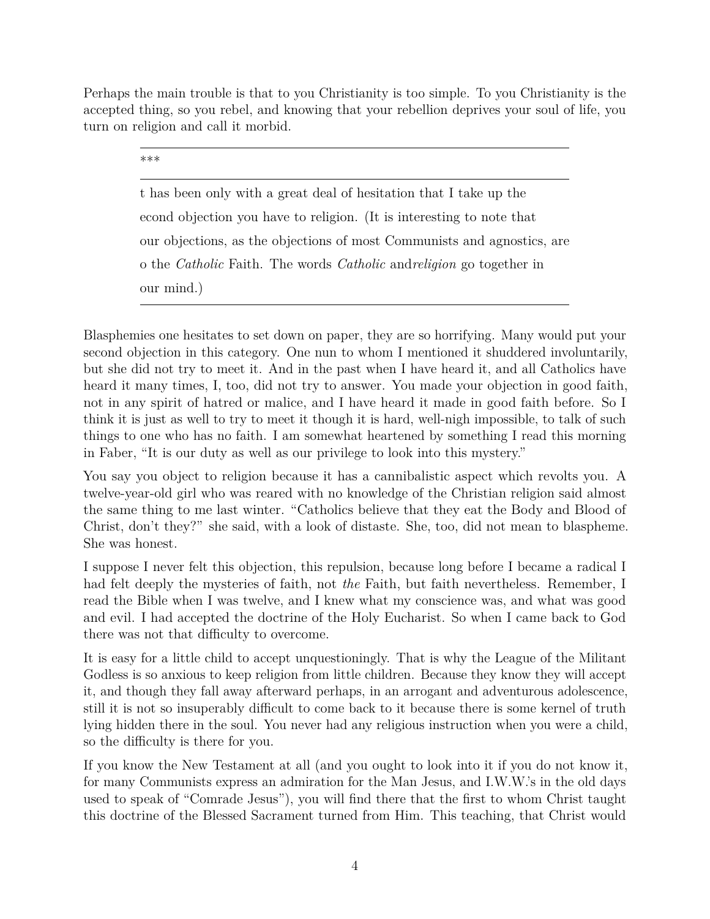Perhaps the main trouble is that to you Christianity is too simple. To you Christianity is the accepted thing, so you rebel, and knowing that your rebellion deprives your soul of life, you turn on religion and call it morbid.

#### \*\*\*

t has been only with a great deal of hesitation that I take up the econd objection you have to religion. (It is interesting to note that our objections, as the objections of most Communists and agnostics, are o the *Catholic* Faith. The words *Catholic* and*religion* go together in our mind.)

Blasphemies one hesitates to set down on paper, they are so horrifying. Many would put your second objection in this category. One nun to whom I mentioned it shuddered involuntarily, but she did not try to meet it. And in the past when I have heard it, and all Catholics have heard it many times, I, too, did not try to answer. You made your objection in good faith, not in any spirit of hatred or malice, and I have heard it made in good faith before. So I think it is just as well to try to meet it though it is hard, well-nigh impossible, to talk of such things to one who has no faith. I am somewhat heartened by something I read this morning in Faber, "It is our duty as well as our privilege to look into this mystery."

You say you object to religion because it has a cannibalistic aspect which revolts you. A twelve-year-old girl who was reared with no knowledge of the Christian religion said almost the same thing to me last winter. "Catholics believe that they eat the Body and Blood of Christ, don't they?" she said, with a look of distaste. She, too, did not mean to blaspheme. She was honest.

I suppose I never felt this objection, this repulsion, because long before I became a radical I had felt deeply the mysteries of faith, not *the* Faith, but faith nevertheless. Remember, I read the Bible when I was twelve, and I knew what my conscience was, and what was good and evil. I had accepted the doctrine of the Holy Eucharist. So when I came back to God there was not that difficulty to overcome.

It is easy for a little child to accept unquestioningly. That is why the League of the Militant Godless is so anxious to keep religion from little children. Because they know they will accept it, and though they fall away afterward perhaps, in an arrogant and adventurous adolescence, still it is not so insuperably difficult to come back to it because there is some kernel of truth lying hidden there in the soul. You never had any religious instruction when you were a child, so the difficulty is there for you.

If you know the New Testament at all (and you ought to look into it if you do not know it, for many Communists express an admiration for the Man Jesus, and I.W.W.'s in the old days used to speak of "Comrade Jesus"), you will find there that the first to whom Christ taught this doctrine of the Blessed Sacrament turned from Him. This teaching, that Christ would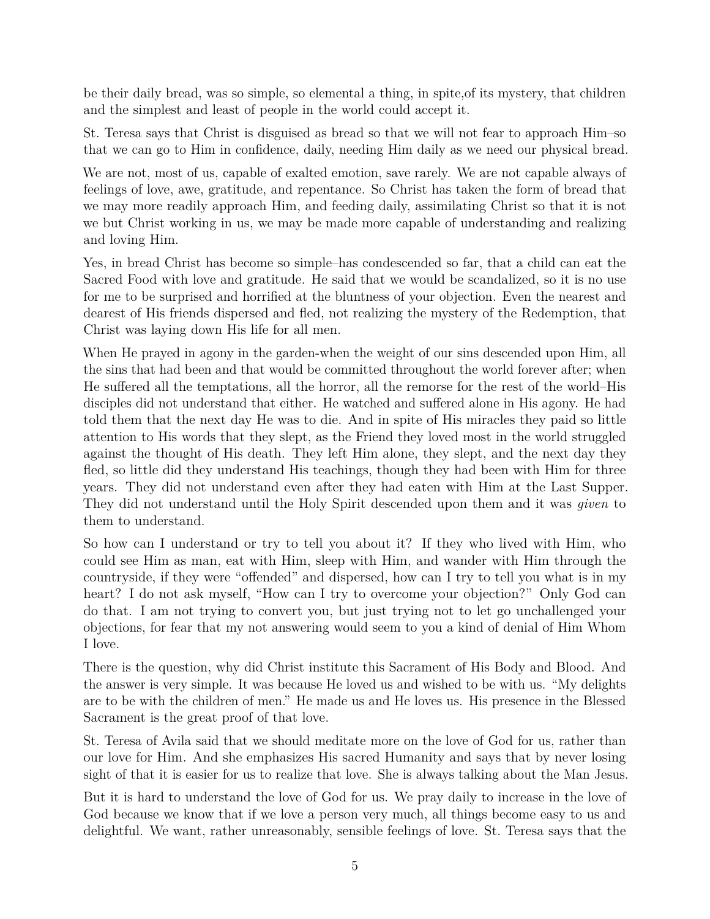be their daily bread, was so simple, so elemental a thing, in spite,of its mystery, that children and the simplest and least of people in the world could accept it.

St. Teresa says that Christ is disguised as bread so that we will not fear to approach Him–so that we can go to Him in confidence, daily, needing Him daily as we need our physical bread.

We are not, most of us, capable of exalted emotion, save rarely. We are not capable always of feelings of love, awe, gratitude, and repentance. So Christ has taken the form of bread that we may more readily approach Him, and feeding daily, assimilating Christ so that it is not we but Christ working in us, we may be made more capable of understanding and realizing and loving Him.

Yes, in bread Christ has become so simple–has condescended so far, that a child can eat the Sacred Food with love and gratitude. He said that we would be scandalized, so it is no use for me to be surprised and horrified at the bluntness of your objection. Even the nearest and dearest of His friends dispersed and fled, not realizing the mystery of the Redemption, that Christ was laying down His life for all men.

When He prayed in agony in the garden-when the weight of our sins descended upon Him, all the sins that had been and that would be committed throughout the world forever after; when He suffered all the temptations, all the horror, all the remorse for the rest of the world–His disciples did not understand that either. He watched and suffered alone in His agony. He had told them that the next day He was to die. And in spite of His miracles they paid so little attention to His words that they slept, as the Friend they loved most in the world struggled against the thought of His death. They left Him alone, they slept, and the next day they fled, so little did they understand His teachings, though they had been with Him for three years. They did not understand even after they had eaten with Him at the Last Supper. They did not understand until the Holy Spirit descended upon them and it was *given* to them to understand.

So how can I understand or try to tell you about it? If they who lived with Him, who could see Him as man, eat with Him, sleep with Him, and wander with Him through the countryside, if they were "offended" and dispersed, how can I try to tell you what is in my heart? I do not ask myself, "How can I try to overcome your objection?" Only God can do that. I am not trying to convert you, but just trying not to let go unchallenged your objections, for fear that my not answering would seem to you a kind of denial of Him Whom I love.

There is the question, why did Christ institute this Sacrament of His Body and Blood. And the answer is very simple. It was because He loved us and wished to be with us. "My delights are to be with the children of men." He made us and He loves us. His presence in the Blessed Sacrament is the great proof of that love.

St. Teresa of Avila said that we should meditate more on the love of God for us, rather than our love for Him. And she emphasizes His sacred Humanity and says that by never losing sight of that it is easier for us to realize that love. She is always talking about the Man Jesus.

But it is hard to understand the love of God for us. We pray daily to increase in the love of God because we know that if we love a person very much, all things become easy to us and delightful. We want, rather unreasonably, sensible feelings of love. St. Teresa says that the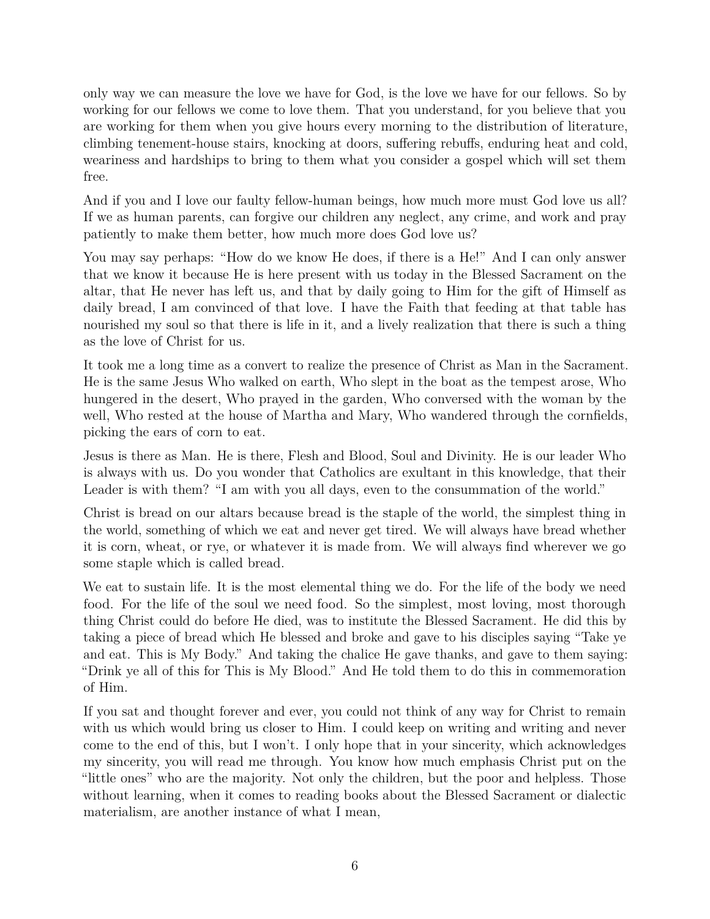only way we can measure the love we have for God, is the love we have for our fellows. So by working for our fellows we come to love them. That you understand, for you believe that you are working for them when you give hours every morning to the distribution of literature, climbing tenement-house stairs, knocking at doors, suffering rebuffs, enduring heat and cold, weariness and hardships to bring to them what you consider a gospel which will set them free.

And if you and I love our faulty fellow-human beings, how much more must God love us all? If we as human parents, can forgive our children any neglect, any crime, and work and pray patiently to make them better, how much more does God love us?

You may say perhaps: "How do we know He does, if there is a He!" And I can only answer that we know it because He is here present with us today in the Blessed Sacrament on the altar, that He never has left us, and that by daily going to Him for the gift of Himself as daily bread, I am convinced of that love. I have the Faith that feeding at that table has nourished my soul so that there is life in it, and a lively realization that there is such a thing as the love of Christ for us.

It took me a long time as a convert to realize the presence of Christ as Man in the Sacrament. He is the same Jesus Who walked on earth, Who slept in the boat as the tempest arose, Who hungered in the desert, Who prayed in the garden, Who conversed with the woman by the well, Who rested at the house of Martha and Mary, Who wandered through the cornfields, picking the ears of corn to eat.

Jesus is there as Man. He is there, Flesh and Blood, Soul and Divinity. He is our leader Who is always with us. Do you wonder that Catholics are exultant in this knowledge, that their Leader is with them? "I am with you all days, even to the consummation of the world."

Christ is bread on our altars because bread is the staple of the world, the simplest thing in the world, something of which we eat and never get tired. We will always have bread whether it is corn, wheat, or rye, or whatever it is made from. We will always find wherever we go some staple which is called bread.

We eat to sustain life. It is the most elemental thing we do. For the life of the body we need food. For the life of the soul we need food. So the simplest, most loving, most thorough thing Christ could do before He died, was to institute the Blessed Sacrament. He did this by taking a piece of bread which He blessed and broke and gave to his disciples saying "Take ye and eat. This is My Body." And taking the chalice He gave thanks, and gave to them saying: "Drink ye all of this for This is My Blood." And He told them to do this in commemoration of Him.

If you sat and thought forever and ever, you could not think of any way for Christ to remain with us which would bring us closer to Him. I could keep on writing and writing and never come to the end of this, but I won't. I only hope that in your sincerity, which acknowledges my sincerity, you will read me through. You know how much emphasis Christ put on the "little ones" who are the majority. Not only the children, but the poor and helpless. Those without learning, when it comes to reading books about the Blessed Sacrament or dialectic materialism, are another instance of what I mean,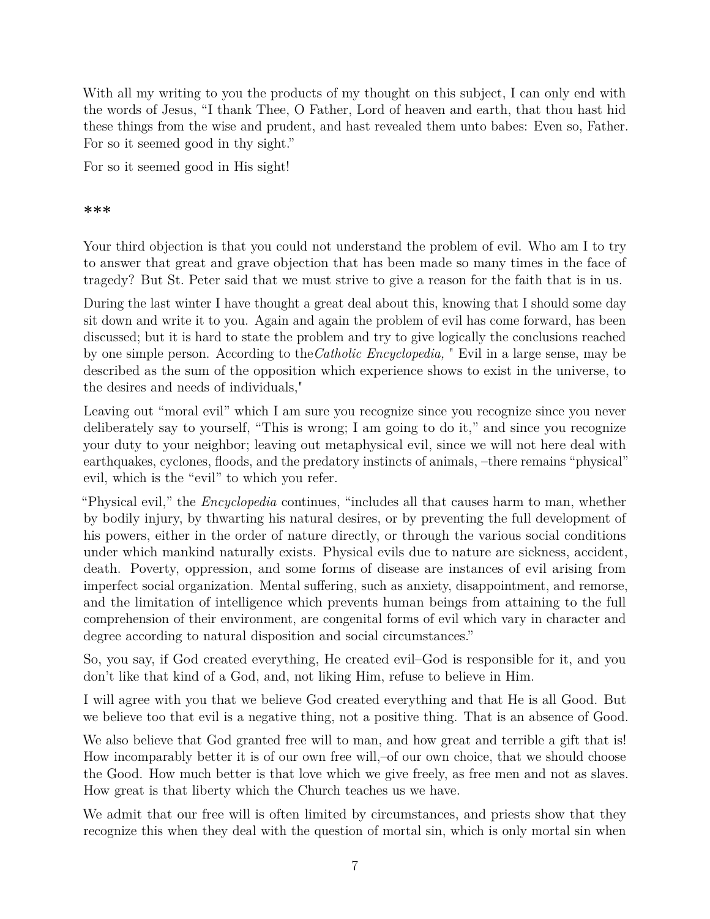With all my writing to you the products of my thought on this subject, I can only end with the words of Jesus, "I thank Thee, O Father, Lord of heaven and earth, that thou hast hid these things from the wise and prudent, and hast revealed them unto babes: Even so, Father. For so it seemed good in thy sight."

For so it seemed good in His sight!

#### **\*\*\***

Your third objection is that you could not understand the problem of evil. Who am I to try to answer that great and grave objection that has been made so many times in the face of tragedy? But St. Peter said that we must strive to give a reason for the faith that is in us.

During the last winter I have thought a great deal about this, knowing that I should some day sit down and write it to you. Again and again the problem of evil has come forward, has been discussed; but it is hard to state the problem and try to give logically the conclusions reached by one simple person. According to the*Catholic Encyclopedia,* " Evil in a large sense, may be described as the sum of the opposition which experience shows to exist in the universe, to the desires and needs of individuals,"

Leaving out "moral evil" which I am sure you recognize since you recognize since you never deliberately say to yourself, "This is wrong; I am going to do it," and since you recognize your duty to your neighbor; leaving out metaphysical evil, since we will not here deal with earthquakes, cyclones, floods, and the predatory instincts of animals, –there remains "physical" evil, which is the "evil" to which you refer.

"Physical evil," the *Encyclopedia* continues, "includes all that causes harm to man, whether by bodily injury, by thwarting his natural desires, or by preventing the full development of his powers, either in the order of nature directly, or through the various social conditions under which mankind naturally exists. Physical evils due to nature are sickness, accident, death. Poverty, oppression, and some forms of disease are instances of evil arising from imperfect social organization. Mental suffering, such as anxiety, disappointment, and remorse, and the limitation of intelligence which prevents human beings from attaining to the full comprehension of their environment, are congenital forms of evil which vary in character and degree according to natural disposition and social circumstances."

So, you say, if God created everything, He created evil–God is responsible for it, and you don't like that kind of a God, and, not liking Him, refuse to believe in Him.

I will agree with you that we believe God created everything and that He is all Good. But we believe too that evil is a negative thing, not a positive thing. That is an absence of Good.

We also believe that God granted free will to man, and how great and terrible a gift that is! How incomparably better it is of our own free will,–of our own choice, that we should choose the Good. How much better is that love which we give freely, as free men and not as slaves. How great is that liberty which the Church teaches us we have.

We admit that our free will is often limited by circumstances, and priests show that they recognize this when they deal with the question of mortal sin, which is only mortal sin when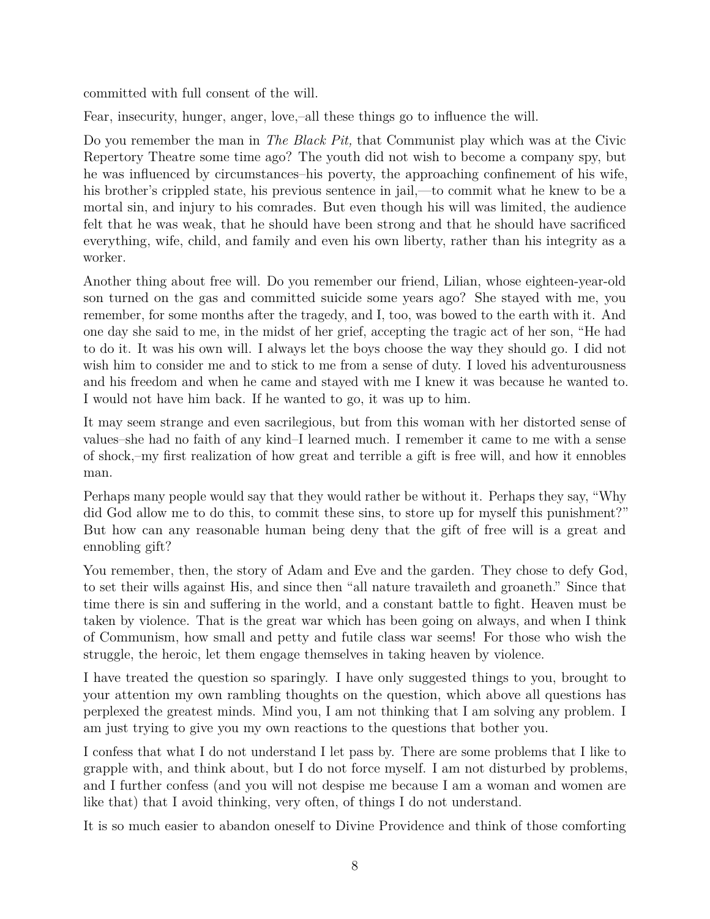committed with full consent of the will.

Fear, insecurity, hunger, anger, love,–all these things go to influence the will.

Do you remember the man in *The Black Pit,* that Communist play which was at the Civic Repertory Theatre some time ago? The youth did not wish to become a company spy, but he was influenced by circumstances–his poverty, the approaching confinement of his wife, his brother's crippled state, his previous sentence in jail,—to commit what he knew to be a mortal sin, and injury to his comrades. But even though his will was limited, the audience felt that he was weak, that he should have been strong and that he should have sacrificed everything, wife, child, and family and even his own liberty, rather than his integrity as a worker.

Another thing about free will. Do you remember our friend, Lilian, whose eighteen-year-old son turned on the gas and committed suicide some years ago? She stayed with me, you remember, for some months after the tragedy, and I, too, was bowed to the earth with it. And one day she said to me, in the midst of her grief, accepting the tragic act of her son, "He had to do it. It was his own will. I always let the boys choose the way they should go. I did not wish him to consider me and to stick to me from a sense of duty. I loved his adventurousness and his freedom and when he came and stayed with me I knew it was because he wanted to. I would not have him back. If he wanted to go, it was up to him.

It may seem strange and even sacrilegious, but from this woman with her distorted sense of values–she had no faith of any kind–I learned much. I remember it came to me with a sense of shock,–my first realization of how great and terrible a gift is free will, and how it ennobles man.

Perhaps many people would say that they would rather be without it. Perhaps they say, "Why did God allow me to do this, to commit these sins, to store up for myself this punishment?" But how can any reasonable human being deny that the gift of free will is a great and ennobling gift?

You remember, then, the story of Adam and Eve and the garden. They chose to defy God, to set their wills against His, and since then "all nature travaileth and groaneth." Since that time there is sin and suffering in the world, and a constant battle to fight. Heaven must be taken by violence. That is the great war which has been going on always, and when I think of Communism, how small and petty and futile class war seems! For those who wish the struggle, the heroic, let them engage themselves in taking heaven by violence.

I have treated the question so sparingly. I have only suggested things to you, brought to your attention my own rambling thoughts on the question, which above all questions has perplexed the greatest minds. Mind you, I am not thinking that I am solving any problem. I am just trying to give you my own reactions to the questions that bother you.

I confess that what I do not understand I let pass by. There are some problems that I like to grapple with, and think about, but I do not force myself. I am not disturbed by problems, and I further confess (and you will not despise me because I am a woman and women are like that) that I avoid thinking, very often, of things I do not understand.

It is so much easier to abandon oneself to Divine Providence and think of those comforting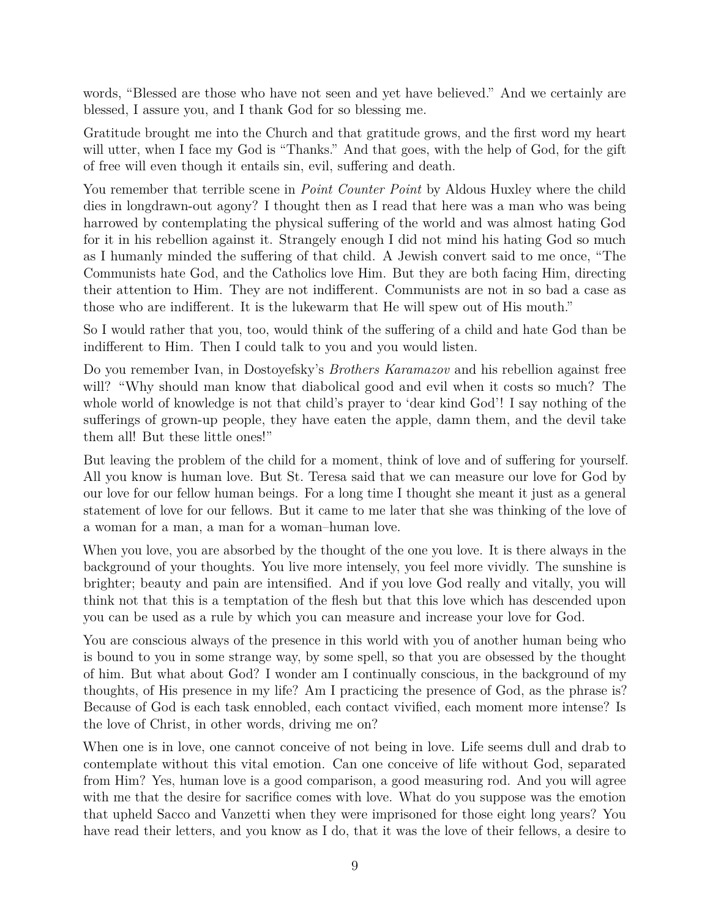words, "Blessed are those who have not seen and yet have believed." And we certainly are blessed, I assure you, and I thank God for so blessing me.

Gratitude brought me into the Church and that gratitude grows, and the first word my heart will utter, when I face my God is "Thanks." And that goes, with the help of God, for the gift of free will even though it entails sin, evil, suffering and death.

You remember that terrible scene in *Point Counter Point* by Aldous Huxley where the child dies in longdrawn-out agony? I thought then as I read that here was a man who was being harrowed by contemplating the physical suffering of the world and was almost hating God for it in his rebellion against it. Strangely enough I did not mind his hating God so much as I humanly minded the suffering of that child. A Jewish convert said to me once, "The Communists hate God, and the Catholics love Him. But they are both facing Him, directing their attention to Him. They are not indifferent. Communists are not in so bad a case as those who are indifferent. It is the lukewarm that He will spew out of His mouth."

So I would rather that you, too, would think of the suffering of a child and hate God than be indifferent to Him. Then I could talk to you and you would listen.

Do you remember Ivan, in Dostoyefsky's *Brothers Karamazov* and his rebellion against free will? "Why should man know that diabolical good and evil when it costs so much? The whole world of knowledge is not that child's prayer to 'dear kind God'! I say nothing of the sufferings of grown-up people, they have eaten the apple, damn them, and the devil take them all! But these little ones!"

But leaving the problem of the child for a moment, think of love and of suffering for yourself. All you know is human love. But St. Teresa said that we can measure our love for God by our love for our fellow human beings. For a long time I thought she meant it just as a general statement of love for our fellows. But it came to me later that she was thinking of the love of a woman for a man, a man for a woman–human love.

When you love, you are absorbed by the thought of the one you love. It is there always in the background of your thoughts. You live more intensely, you feel more vividly. The sunshine is brighter; beauty and pain are intensified. And if you love God really and vitally, you will think not that this is a temptation of the flesh but that this love which has descended upon you can be used as a rule by which you can measure and increase your love for God.

You are conscious always of the presence in this world with you of another human being who is bound to you in some strange way, by some spell, so that you are obsessed by the thought of him. But what about God? I wonder am I continually conscious, in the background of my thoughts, of His presence in my life? Am I practicing the presence of God, as the phrase is? Because of God is each task ennobled, each contact vivified, each moment more intense? Is the love of Christ, in other words, driving me on?

When one is in love, one cannot conceive of not being in love. Life seems dull and drab to contemplate without this vital emotion. Can one conceive of life without God, separated from Him? Yes, human love is a good comparison, a good measuring rod. And you will agree with me that the desire for sacrifice comes with love. What do you suppose was the emotion that upheld Sacco and Vanzetti when they were imprisoned for those eight long years? You have read their letters, and you know as I do, that it was the love of their fellows, a desire to